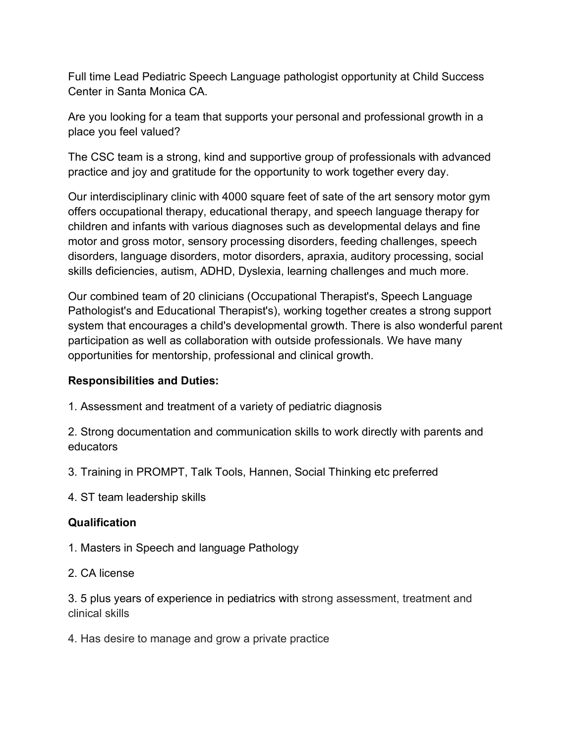Full time Lead Pediatric Speech Language pathologist opportunity at Child Success Center in Santa Monica CA.

Are you looking for a team that supports your personal and professional growth in a place you feel valued?

The CSC team is a strong, kind and supportive group of professionals with advanced practice and joy and gratitude for the opportunity to work together every day.

Our interdisciplinary clinic with 4000 square feet of sate of the art sensory motor gym offers occupational therapy, educational therapy, and speech language therapy for children and infants with various diagnoses such as developmental delays and fine motor and gross motor, sensory processing disorders, feeding challenges, speech disorders, language disorders, motor disorders, apraxia, auditory processing, social skills deficiencies, autism, ADHD, Dyslexia, learning challenges and much more.

Our combined team of 20 clinicians (Occupational Therapist's, Speech Language Pathologist's and Educational Therapist's), working together creates a strong support system that encourages a child's developmental growth. There is also wonderful parent participation as well as collaboration with outside professionals. We have many opportunities for mentorship, professional and clinical growth.

## **Responsibilities and Duties:**

1. Assessment and treatment of a variety of pediatric diagnosis

2. Strong documentation and communication skills to work directly with parents and educators

- 3. Training in PROMPT, Talk Tools, Hannen, Social Thinking etc preferred
- 4. ST team leadership skills

## **Qualification**

- 1. Masters in Speech and language Pathology
- 2. CA license

3. 5 plus years of experience in pediatrics with strong assessment, treatment and clinical skills

4. Has desire to manage and grow a private practice